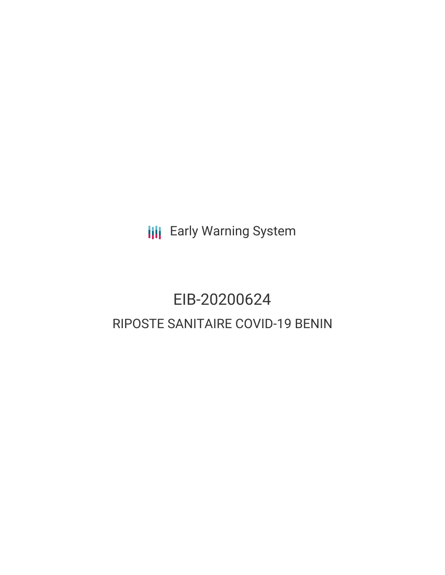**III** Early Warning System

# EIB-20200624 RIPOSTE SANITAIRE COVID-19 BENIN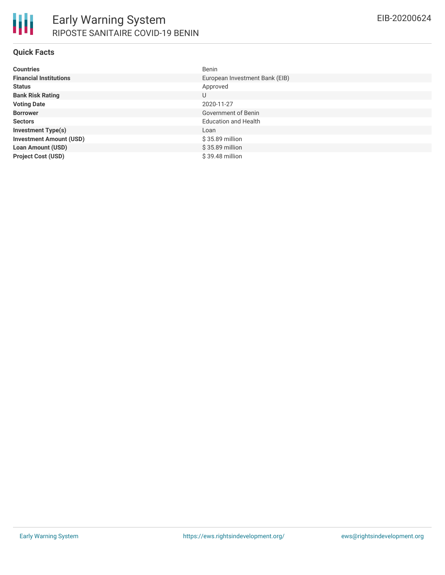#### **Quick Facts**

| <b>Countries</b>               | <b>Benin</b>                   |
|--------------------------------|--------------------------------|
| <b>Financial Institutions</b>  | European Investment Bank (EIB) |
| <b>Status</b>                  | Approved                       |
| <b>Bank Risk Rating</b>        | U                              |
| <b>Voting Date</b>             | 2020-11-27                     |
| <b>Borrower</b>                | Government of Benin            |
| <b>Sectors</b>                 | <b>Education and Health</b>    |
| <b>Investment Type(s)</b>      | Loan                           |
| <b>Investment Amount (USD)</b> | \$35.89 million                |
| <b>Loan Amount (USD)</b>       | \$35.89 million                |
| <b>Project Cost (USD)</b>      | $$39.48$ million               |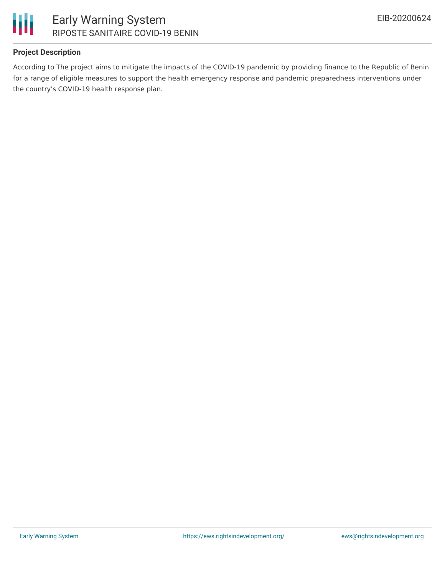

#### **Project Description**

According to The project aims to mitigate the impacts of the COVID-19 pandemic by providing finance to the Republic of Benin for a range of eligible measures to support the health emergency response and pandemic preparedness interventions under the country's COVID-19 health response plan.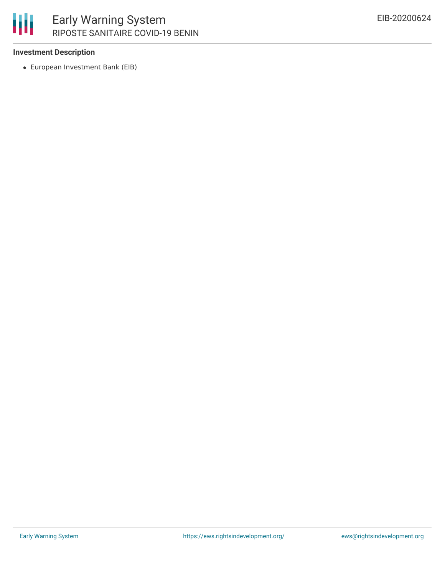

## Early Warning System RIPOSTE SANITAIRE COVID-19 BENIN

#### **Investment Description**

European Investment Bank (EIB)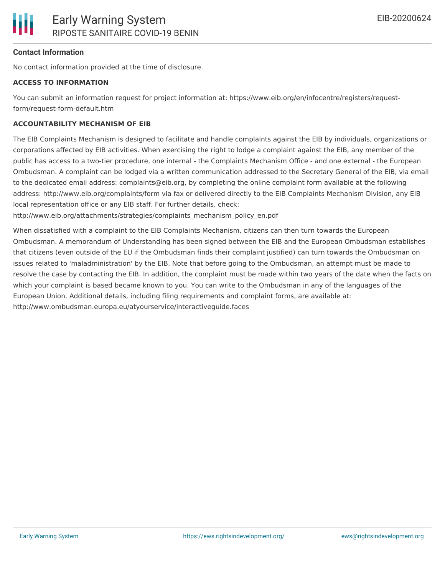#### **Contact Information**

No contact information provided at the time of disclosure.

#### **ACCESS TO INFORMATION**

You can submit an information request for project information at: https://www.eib.org/en/infocentre/registers/requestform/request-form-default.htm

#### **ACCOUNTABILITY MECHANISM OF EIB**

The EIB Complaints Mechanism is designed to facilitate and handle complaints against the EIB by individuals, organizations or corporations affected by EIB activities. When exercising the right to lodge a complaint against the EIB, any member of the public has access to a two-tier procedure, one internal - the Complaints Mechanism Office - and one external - the European Ombudsman. A complaint can be lodged via a written communication addressed to the Secretary General of the EIB, via email to the dedicated email address: complaints@eib.org, by completing the online complaint form available at the following address: http://www.eib.org/complaints/form via fax or delivered directly to the EIB Complaints Mechanism Division, any EIB local representation office or any EIB staff. For further details, check:

http://www.eib.org/attachments/strategies/complaints\_mechanism\_policy\_en.pdf

When dissatisfied with a complaint to the EIB Complaints Mechanism, citizens can then turn towards the European Ombudsman. A memorandum of Understanding has been signed between the EIB and the European Ombudsman establishes that citizens (even outside of the EU if the Ombudsman finds their complaint justified) can turn towards the Ombudsman on issues related to 'maladministration' by the EIB. Note that before going to the Ombudsman, an attempt must be made to resolve the case by contacting the EIB. In addition, the complaint must be made within two years of the date when the facts on which your complaint is based became known to you. You can write to the Ombudsman in any of the languages of the European Union. Additional details, including filing requirements and complaint forms, are available at: http://www.ombudsman.europa.eu/atyourservice/interactiveguide.faces